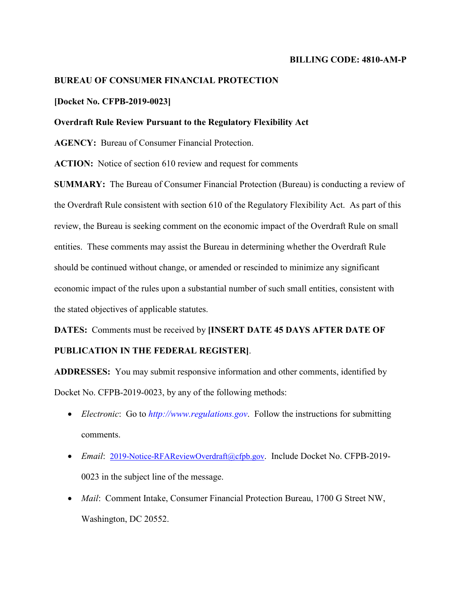#### **BILLING CODE: 4810-AM-P**

## **BUREAU OF CONSUMER FINANCIAL PROTECTION**

### **[Docket No. CFPB-2019-0023]**

#### **Overdraft Rule Review Pursuant to the Regulatory Flexibility Act**

**AGENCY:** Bureau of Consumer Financial Protection.

**ACTION:** Notice of section 610 review and request for comments

**SUMMARY:** The Bureau of Consumer Financial Protection (Bureau) is conducting a review of the Overdraft Rule consistent with section 610 of the Regulatory Flexibility Act. As part of this review, the Bureau is seeking comment on the economic impact of the Overdraft Rule on small entities. These comments may assist the Bureau in determining whether the Overdraft Rule should be continued without change, or amended or rescinded to minimize any significant economic impact of the rules upon a substantial number of such small entities, consistent with the stated objectives of applicable statutes.

**DATES:** Comments must be received by **[INSERT DATE 45 DAYS AFTER DATE OF** 

## **PUBLICATION IN THE FEDERAL REGISTER]**.

**ADDRESSES:** You may submit responsive information and other comments, identified by Docket No. CFPB-2019-0023, by any of the following methods:

- *Electronic*: Go to *[http://www.regulations.gov](http://www.regulations.gov/)*. Follow the instructions for submitting comments.
- *Email*: [2019-Notice-RFAReviewOverdraft@cfpb.gov.](mailto:2019-Notice-RFAReviewOverdraft@cfpb.gov) Include Docket No. CFPB-2019-0023 in the subject line of the message.
- *Mail*: Comment Intake, Consumer Financial Protection Bureau, 1700 G Street NW, Washington, DC 20552.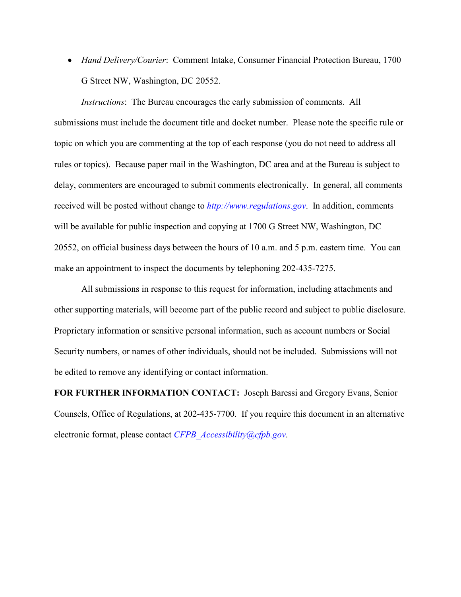• *Hand Delivery/Courier*: Comment Intake, Consumer Financial Protection Bureau, 1700 G Street NW, Washington, DC 20552.

*Instructions*: The Bureau encourages the early submission of comments. All submissions must include the document title and docket number. Please note the specific rule or topic on which you are commenting at the top of each response (you do not need to address all rules or topics). Because paper mail in the Washington, DC area and at the Bureau is subject to delay, commenters are encouraged to submit comments electronically. In general, all comments received will be posted without change to *[http://www.regulations.gov](http://www.regulations.gov/)*. In addition, comments will be available for public inspection and copying at 1700 G Street NW, Washington, DC 20552, on official business days between the hours of 10 a.m. and 5 p.m. eastern time. You can make an appointment to inspect the documents by telephoning 202-435-7275.

All submissions in response to this request for information, including attachments and other supporting materials, will become part of the public record and subject to public disclosure. Proprietary information or sensitive personal information, such as account numbers or Social Security numbers, or names of other individuals, should not be included. Submissions will not be edited to remove any identifying or contact information.

**FOR FURTHER INFORMATION CONTACT:** Joseph Baressi and Gregory Evans, Senior Counsels, Office of Regulations, at 202-435-7700. If you require this document in an alternative electronic format, please contact *[CFPB\\_Accessibility@cfpb.gov](mailto:CFPB_Accessibility@cfpb.gov)*.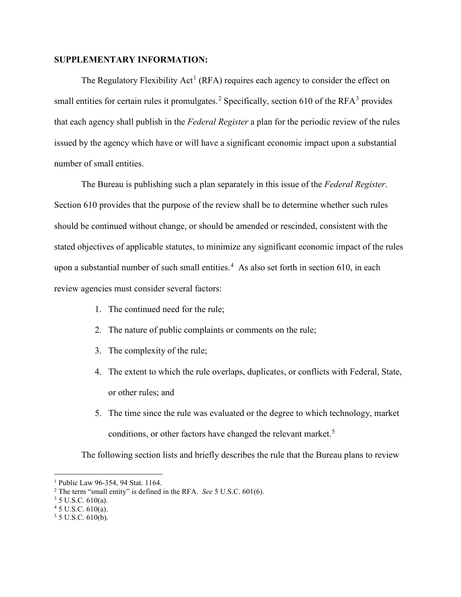## **SUPPLEMENTARY INFORMATION:**

The Regulatory Flexibility Act<sup>[1](#page-2-0)</sup> (RFA) requires each agency to consider the effect on small entities for certain rules it promulgates.<sup>[2](#page-2-1)</sup> Specifically, section 610 of the RFA $3$  provides that each agency shall publish in the *Federal Register* a plan for the periodic review of the rules issued by the agency which have or will have a significant economic impact upon a substantial number of small entities.

The Bureau is publishing such a plan separately in this issue of the *Federal Register*. Section 610 provides that the purpose of the review shall be to determine whether such rules should be continued without change, or should be amended or rescinded, consistent with the stated objectives of applicable statutes, to minimize any significant economic impact of the rules upon a substantial number of such small entities.<sup>[4](#page-2-3)</sup> As also set forth in section 610, in each review agencies must consider several factors:

- 1. The continued need for the rule;
- 2. The nature of public complaints or comments on the rule;
- 3. The complexity of the rule;
- 4. The extent to which the rule overlaps, duplicates, or conflicts with Federal, State, or other rules; and
- 5. The time since the rule was evaluated or the degree to which technology, market conditions, or other factors have changed the relevant market.<sup>[5](#page-2-4)</sup>

The following section lists and briefly describes the rule that the Bureau plans to review

<span id="page-2-0"></span><sup>&</sup>lt;sup>1</sup> Public Law 96-354, 94 Stat. 1164.

<span id="page-2-1"></span><sup>2</sup> The term "small entity" is defined in the RFA. *See* 5 U.S.C. 601(6).

<span id="page-2-2"></span> $3$  5 U.S.C. 610(a).

<span id="page-2-3"></span> $45$  U.S.C.  $610(a)$ .

<span id="page-2-4"></span> $5$  5 U.S.C. 610(b).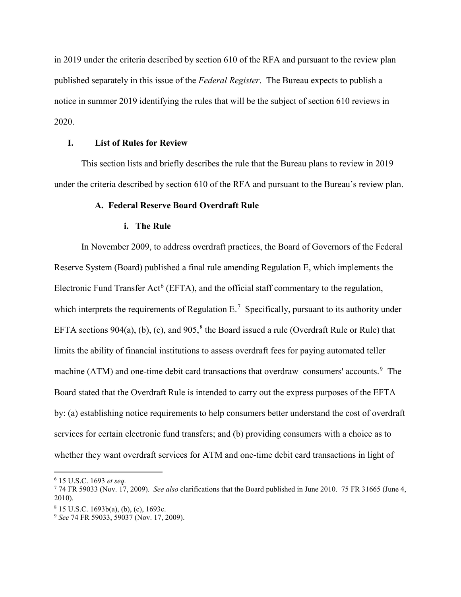in 2019 under the criteria described by section 610 of the RFA and pursuant to the review plan published separately in this issue of the *Federal Register*. The Bureau expects to publish a notice in summer 2019 identifying the rules that will be the subject of section 610 reviews in 2020.

## **I. List of Rules for Review**

This section lists and briefly describes the rule that the Bureau plans to review in 2019 under the criteria described by section 610 of the RFA and pursuant to the Bureau's review plan.

#### **A. Federal Reserve Board Overdraft Rule**

#### **i. The Rule**

In November 2009, to address overdraft practices, the Board of Governors of the Federal Reserve System (Board) published a final rule amending Regulation E, which implements the Electronic Fund Transfer Act<sup>[6](#page-3-0)</sup> (EFTA), and the official staff commentary to the regulation, which interprets the requirements of Regulation  $E^7$  $E^7$ . Specifically, pursuant to its authority under EFTA sections 904(a), (b), (c), and 905,<sup>[8](#page-3-2)</sup> the Board issued a rule (Overdraft Rule or Rule) that limits the ability of financial institutions to assess overdraft fees for paying automated teller machine (ATM) and one-time debit card transactions that overdraw consumers' accounts.<sup>[9](#page-3-3)</sup> The Board stated that the Overdraft Rule is intended to carry out the express purposes of the EFTA by: (a) establishing notice requirements to help consumers better understand the cost of overdraft services for certain electronic fund transfers; and (b) providing consumers with a choice as to whether they want overdraft services for ATM and one-time debit card transactions in light of

<span id="page-3-0"></span> <sup>6</sup> 15 U.S.C. 1693 *et seq.*

<span id="page-3-1"></span><sup>7</sup> 74 FR 59033 (Nov. 17, 2009). *See also* clarifications that the Board published in June 2010. 75 FR 31665 (June 4, 2010).

<span id="page-3-2"></span> $8$  15 U.S.C. 1693b(a), (b), (c), 1693c.

<span id="page-3-3"></span><sup>9</sup> *See* 74 FR 59033, 59037 (Nov. 17, 2009).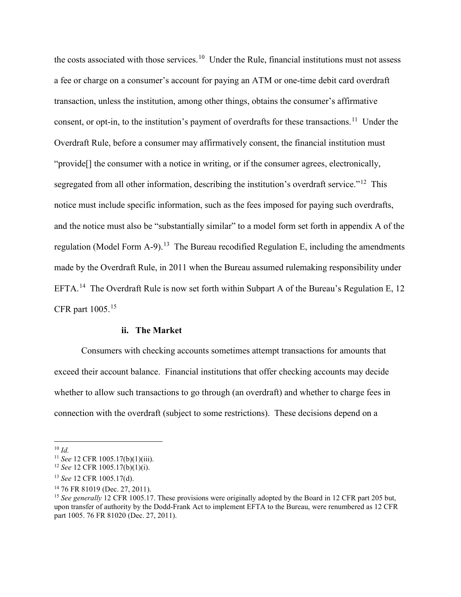the costs associated with those services.<sup>[10](#page-4-0)</sup> Under the Rule, financial institutions must not assess a fee or charge on a consumer's account for paying an ATM or one-time debit card overdraft transaction, unless the institution, among other things, obtains the consumer's affirmative consent, or opt-in, to the institution's payment of overdrafts for these transactions.<sup>[11](#page-4-1)</sup> Under the Overdraft Rule, before a consumer may affirmatively consent, the financial institution must "provide[] the consumer with a notice in writing, or if the consumer agrees, electronically, segregated from all other information, describing the institution's overdraft service."<sup>[12](#page-4-2)</sup> This notice must include specific information, such as the fees imposed for paying such overdrafts, and the notice must also be "substantially similar" to a model form set forth in appendix A of the regulation (Model Form A-9).<sup>[13](#page-4-3)</sup> The Bureau recodified Regulation E, including the amendments made by the Overdraft Rule, in 2011 when the Bureau assumed rulemaking responsibility under EFTA.<sup>14</sup> The Overdraft Rule is now set forth within Subpart A of the Bureau's Regulation E, 12 CFR part 1005.[15](#page-4-5)

#### **ii. The Market**

Consumers with checking accounts sometimes attempt transactions for amounts that exceed their account balance. Financial institutions that offer checking accounts may decide whether to allow such transactions to go through (an overdraft) and whether to charge fees in connection with the overdraft (subject to some restrictions). These decisions depend on a

<span id="page-4-0"></span> <sup>10</sup> *Id.*

<span id="page-4-1"></span><sup>11</sup> *See* 12 CFR 1005.17(b)(1)(iii).

<span id="page-4-2"></span><sup>12</sup> *See* 12 CFR 1005.17(b)(1)(i).

<span id="page-4-3"></span><sup>13</sup> *See* 12 CFR 1005.17(d).

<sup>14</sup> 76 FR 81019 (Dec. 27, 2011).

<span id="page-4-5"></span><span id="page-4-4"></span><sup>&</sup>lt;sup>15</sup> See generally 12 CFR 1005.17. These provisions were originally adopted by the Board in 12 CFR part 205 but, upon transfer of authority by the Dodd-Frank Act to implement EFTA to the Bureau, were renumbered as 12 CFR part 1005. 76 FR 81020 (Dec. 27, 2011).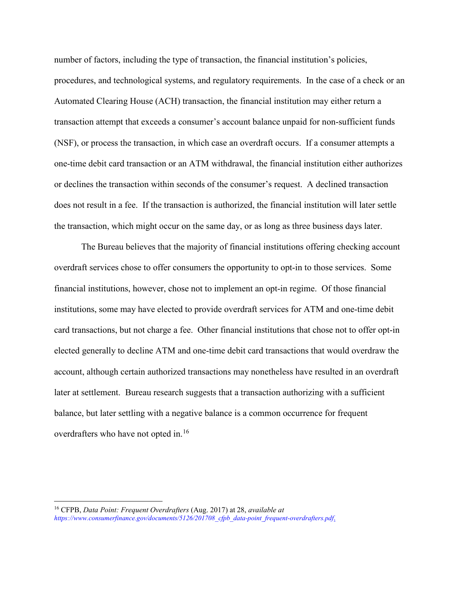number of factors, including the type of transaction, the financial institution's policies, procedures, and technological systems, and regulatory requirements. In the case of a check or an Automated Clearing House (ACH) transaction, the financial institution may either return a transaction attempt that exceeds a consumer's account balance unpaid for non-sufficient funds (NSF), or process the transaction, in which case an overdraft occurs. If a consumer attempts a one-time debit card transaction or an ATM withdrawal, the financial institution either authorizes or declines the transaction within seconds of the consumer's request. A declined transaction does not result in a fee. If the transaction is authorized, the financial institution will later settle the transaction, which might occur on the same day, or as long as three business days later.

The Bureau believes that the majority of financial institutions offering checking account overdraft services chose to offer consumers the opportunity to opt-in to those services. Some financial institutions, however, chose not to implement an opt-in regime. Of those financial institutions, some may have elected to provide overdraft services for ATM and one-time debit card transactions, but not charge a fee. Other financial institutions that chose not to offer opt-in elected generally to decline ATM and one-time debit card transactions that would overdraw the account, although certain authorized transactions may nonetheless have resulted in an overdraft later at settlement. Bureau research suggests that a transaction authorizing with a sufficient balance, but later settling with a negative balance is a common occurrence for frequent overdrafters who have not opted in.<sup>[16](#page-5-0)</sup>

<span id="page-5-0"></span> <sup>16</sup> CFPB, *Data Point: Frequent Overdrafters* (Aug. 2017) at 28, *available at [https://www.consumerfinance.gov/documents/5126/201708\\_cfpb\\_data-point\\_frequent-overdrafters.pdf](https://www.consumerfinance.gov/documents/5126/201708_cfpb_data-point_frequent-overdrafters.pdf)*.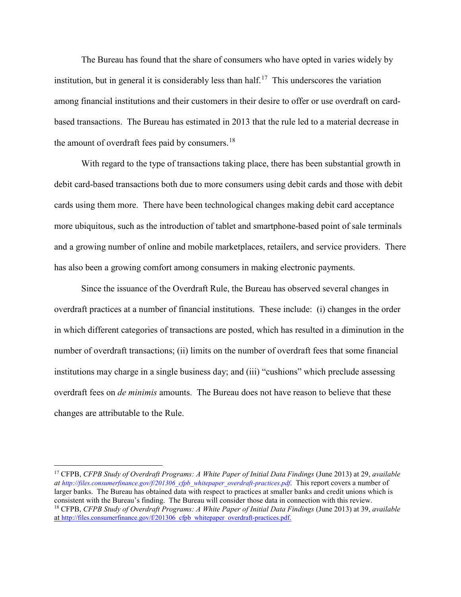The Bureau has found that the share of consumers who have opted in varies widely by institution, but in general it is considerably less than half.<sup>17</sup> This underscores the variation among financial institutions and their customers in their desire to offer or use overdraft on cardbased transactions. The Bureau has estimated in 2013 that the rule led to a material decrease in the amount of overdraft fees paid by consumers.<sup>[18](#page-6-1)</sup>

With regard to the type of transactions taking place, there has been substantial growth in debit card-based transactions both due to more consumers using debit cards and those with debit cards using them more. There have been technological changes making debit card acceptance more ubiquitous, such as the introduction of tablet and smartphone-based point of sale terminals and a growing number of online and mobile marketplaces, retailers, and service providers. There has also been a growing comfort among consumers in making electronic payments.

Since the issuance of the Overdraft Rule, the Bureau has observed several changes in overdraft practices at a number of financial institutions. These include: (i) changes in the order in which different categories of transactions are posted, which has resulted in a diminution in the number of overdraft transactions; (ii) limits on the number of overdraft fees that some financial institutions may charge in a single business day; and (iii) "cushions" which preclude assessing overdraft fees on *de minimis* amounts. The Bureau does not have reason to believe that these changes are attributable to the Rule.

<span id="page-6-1"></span><span id="page-6-0"></span> <sup>17</sup> CFPB, *CFPB Study of Overdraft Programs: A White Paper of Initial Data Findings* (June 2013) at 29, *available at [http://files.consumerfinance.gov/f/201306\\_cfpb\\_whitepaper\\_overdraft-practices.pdf](http://files.consumerfinance.gov/f/201306_cfpb_whitepaper_overdraft-practices.pdf)*. This report covers a number of larger banks. The Bureau has obtained data with respect to practices at smaller banks and credit unions which is consistent with the Bureau's finding. The Bureau will consider those data in connection with this review. <sup>18</sup> CFPB, *CFPB Study of Overdraft Programs: A White Paper of Initial Data Findings* (June 2013) at 39, *available*  a[t http://files.consumerfinance.gov/f/201306\\_cfpb\\_whitepaper\\_overdraft-practices.pdf.](http://files.consumerfinance.gov/f/201306_cfpb_whitepaper_overdraft-practices.pdf)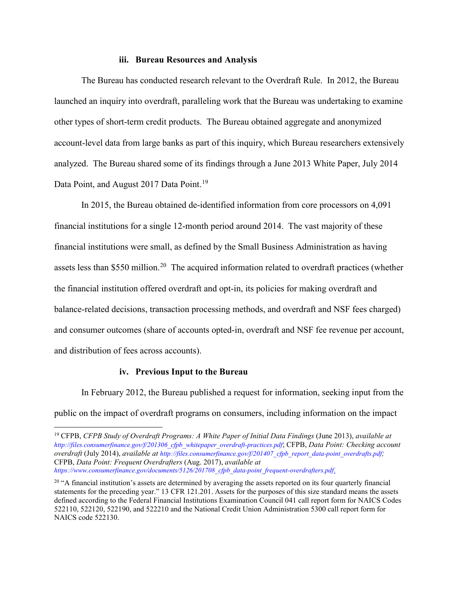#### **iii. Bureau Resources and Analysis**

The Bureau has conducted research relevant to the Overdraft Rule. In 2012, the Bureau launched an inquiry into overdraft, paralleling work that the Bureau was undertaking to examine other types of short-term credit products. The Bureau obtained aggregate and anonymized account-level data from large banks as part of this inquiry, which Bureau researchers extensively analyzed. The Bureau shared some of its findings through a June 2013 White Paper, July 2014 Data Point, and August 2017 Data Point.<sup>[19](#page-7-0)</sup>

In 2015, the Bureau obtained de-identified information from core processors on 4,091 financial institutions for a single 12-month period around 2014. The vast majority of these financial institutions were small, as defined by the Small Business Administration as having assets less than \$550 million.<sup>[20](#page-7-1)</sup> The acquired information related to overdraft practices (whether the financial institution offered overdraft and opt-in, its policies for making overdraft and balance-related decisions, transaction processing methods, and overdraft and NSF fees charged) and consumer outcomes (share of accounts opted-in, overdraft and NSF fee revenue per account, and distribution of fees across accounts).

#### **iv. Previous Input to the Bureau**

In February 2012, the Bureau published a request for information, seeking input from the public on the impact of overdraft programs on consumers, including information on the impact

<span id="page-7-0"></span> <sup>19</sup> CFPB, *CFPB Study of Overdraft Programs: A White Paper of Initial Data Findings* (June 2013), *available at [http://files.consumerfinance.gov/f/201306\\_cfpb\\_whitepaper\\_overdraft-practices.pdf](http://files.consumerfinance.gov/f/201306_cfpb_whitepaper_overdraft-practices.pdf)*; CFPB, *Data Point: Checking account overdraft* (July 2014), *available a[t http://files.consumerfinance.gov/f/201407\\_cfpb\\_report\\_data-point\\_overdrafts.pdf;](http://files.consumerfinance.gov/f/201407_cfpb_report_data-point_overdrafts.pdf)* CFPB, *Data Point: Frequent Overdrafters* (Aug. 2017), *available at* 

*[https://www.consumerfinance.gov/documents/5126/201708\\_cfpb\\_data-point\\_frequent-overdrafters.pdf](https://www.consumerfinance.gov/documents/5126/201708_cfpb_data-point_frequent-overdrafters.pdf)*.

<span id="page-7-1"></span> $20$  "A financial institution's assets are determined by averaging the assets reported on its four quarterly financial statements for the preceding year." 13 CFR 121.201. Assets for the purposes of this size standard means the assets defined according to the Federal Financial Institutions Examination Council 041 call report form for NAICS Codes 522110, 522120, 522190, and 522210 and the National Credit Union Administration 5300 call report form for NAICS code 522130.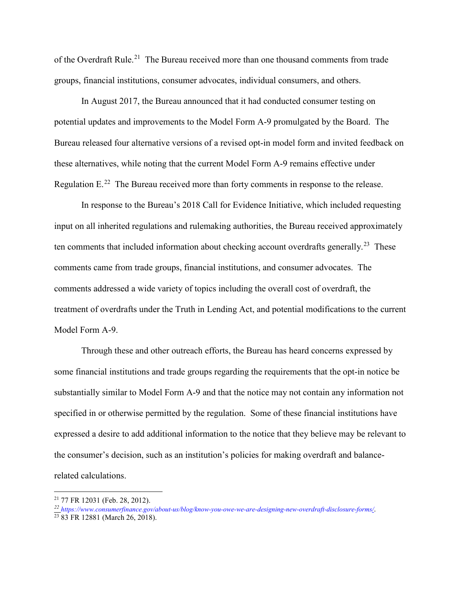of the Overdraft Rule.<sup>[21](#page-8-0)</sup> The Bureau received more than one thousand comments from trade groups, financial institutions, consumer advocates, individual consumers, and others.

In August 2017, the Bureau announced that it had conducted consumer testing on potential updates and improvements to the Model Form A-9 promulgated by the Board. The Bureau released four alternative versions of a revised opt-in model form and invited feedback on these alternatives, while noting that the current Model Form A-9 remains effective under Regulation  $E^{22}$  The Bureau received more than forty comments in response to the release.

In response to the Bureau's 2018 Call for Evidence Initiative, which included requesting input on all inherited regulations and rulemaking authorities, the Bureau received approximately ten comments that included information about checking account overdrafts generally.<sup>[23](#page-8-2)</sup> These comments came from trade groups, financial institutions, and consumer advocates. The comments addressed a wide variety of topics including the overall cost of overdraft, the treatment of overdrafts under the Truth in Lending Act, and potential modifications to the current Model Form A-9.

Through these and other outreach efforts, the Bureau has heard concerns expressed by some financial institutions and trade groups regarding the requirements that the opt-in notice be substantially similar to Model Form A-9 and that the notice may not contain any information not specified in or otherwise permitted by the regulation. Some of these financial institutions have expressed a desire to add additional information to the notice that they believe may be relevant to the consumer's decision, such as an institution's policies for making overdraft and balancerelated calculations.

<span id="page-8-0"></span> $21$  77 FR 12031 (Feb. 28, 2012).

<span id="page-8-2"></span><span id="page-8-1"></span>*<sup>22</sup> <https://www.consumerfinance.gov/about-us/blog/know-you-owe-we-are-designing-new-overdraft-disclosure-forms/>*.

<sup>23</sup> 83 FR 12881 (March 26, 2018).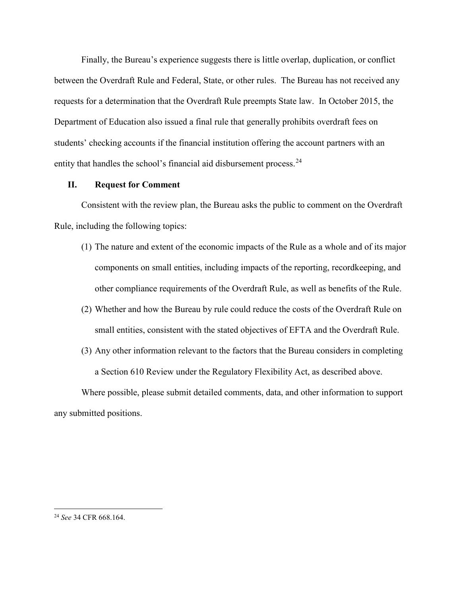Finally, the Bureau's experience suggests there is little overlap, duplication, or conflict between the Overdraft Rule and Federal, State, or other rules. The Bureau has not received any requests for a determination that the Overdraft Rule preempts State law. In October 2015, the Department of Education also issued a final rule that generally prohibits overdraft fees on students' checking accounts if the financial institution offering the account partners with an entity that handles the school's financial aid disbursement process.<sup>[24](#page-9-0)</sup>

#### **II. Request for Comment**

Consistent with the review plan, the Bureau asks the public to comment on the Overdraft Rule, including the following topics:

- (1) The nature and extent of the economic impacts of the Rule as a whole and of its major components on small entities, including impacts of the reporting, recordkeeping, and other compliance requirements of the Overdraft Rule, as well as benefits of the Rule.
- (2) Whether and how the Bureau by rule could reduce the costs of the Overdraft Rule on small entities, consistent with the stated objectives of EFTA and the Overdraft Rule.
- (3) Any other information relevant to the factors that the Bureau considers in completing a Section 610 Review under the Regulatory Flexibility Act, as described above.

Where possible, please submit detailed comments, data, and other information to support any submitted positions.

<span id="page-9-0"></span> <sup>24</sup> *See* 34 CFR 668.164.